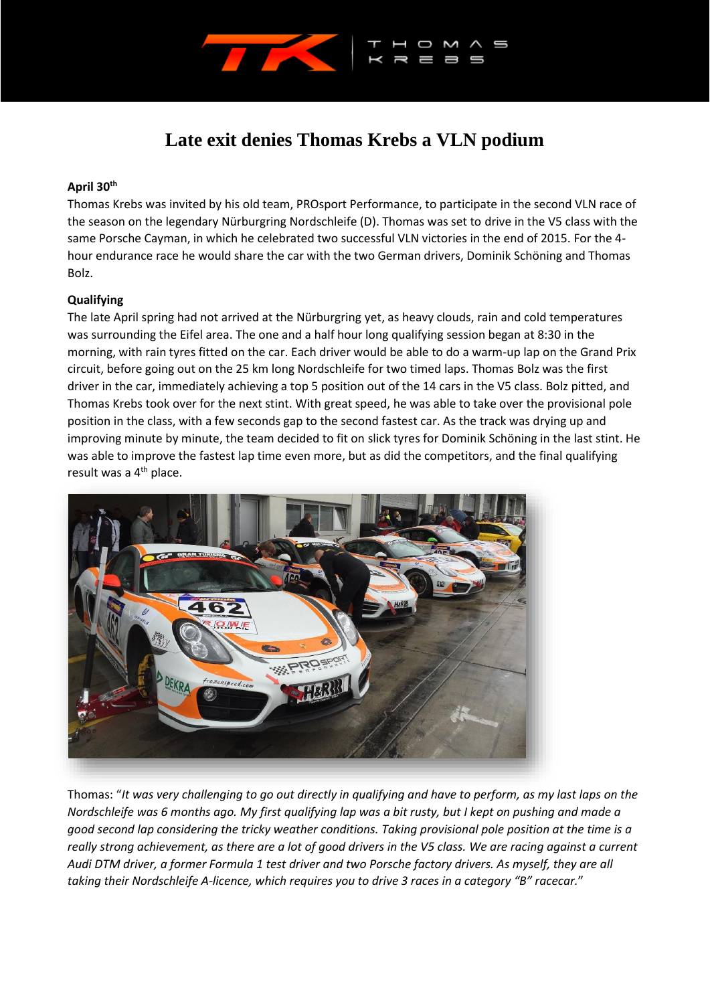

# **Late exit denies Thomas Krebs a VLN podium**

## **April 30th**

Thomas Krebs was invited by his old team, PROsport Performance, to participate in the second VLN race of the season on the legendary Nürburgring Nordschleife (D). Thomas was set to drive in the V5 class with the same Porsche Cayman, in which he celebrated two successful VLN victories in the end of 2015. For the 4 hour endurance race he would share the car with the two German drivers, Dominik Schöning and Thomas Bolz.

## **Qualifying**

The late April spring had not arrived at the Nürburgring yet, as heavy clouds, rain and cold temperatures was surrounding the Eifel area. The one and a half hour long qualifying session began at 8:30 in the morning, with rain tyres fitted on the car. Each driver would be able to do a warm-up lap on the Grand Prix circuit, before going out on the 25 km long Nordschleife for two timed laps. Thomas Bolz was the first driver in the car, immediately achieving a top 5 position out of the 14 cars in the V5 class. Bolz pitted, and Thomas Krebs took over for the next stint. With great speed, he was able to take over the provisional pole position in the class, with a few seconds gap to the second fastest car. As the track was drying up and improving minute by minute, the team decided to fit on slick tyres for Dominik Schöning in the last stint. He was able to improve the fastest lap time even more, but as did the competitors, and the final qualifying result was a 4<sup>th</sup> place.



Thomas: "*It was very challenging to go out directly in qualifying and have to perform, as my last laps on the Nordschleife was 6 months ago. My first qualifying lap was a bit rusty, but I kept on pushing and made a good second lap considering the tricky weather conditions. Taking provisional pole position at the time is a really strong achievement, as there are a lot of good drivers in the V5 class. We are racing against a current Audi DTM driver, a former Formula 1 test driver and two Porsche factory drivers. As myself, they are all taking their Nordschleife A-licence, which requires you to drive 3 races in a category "B" racecar.*"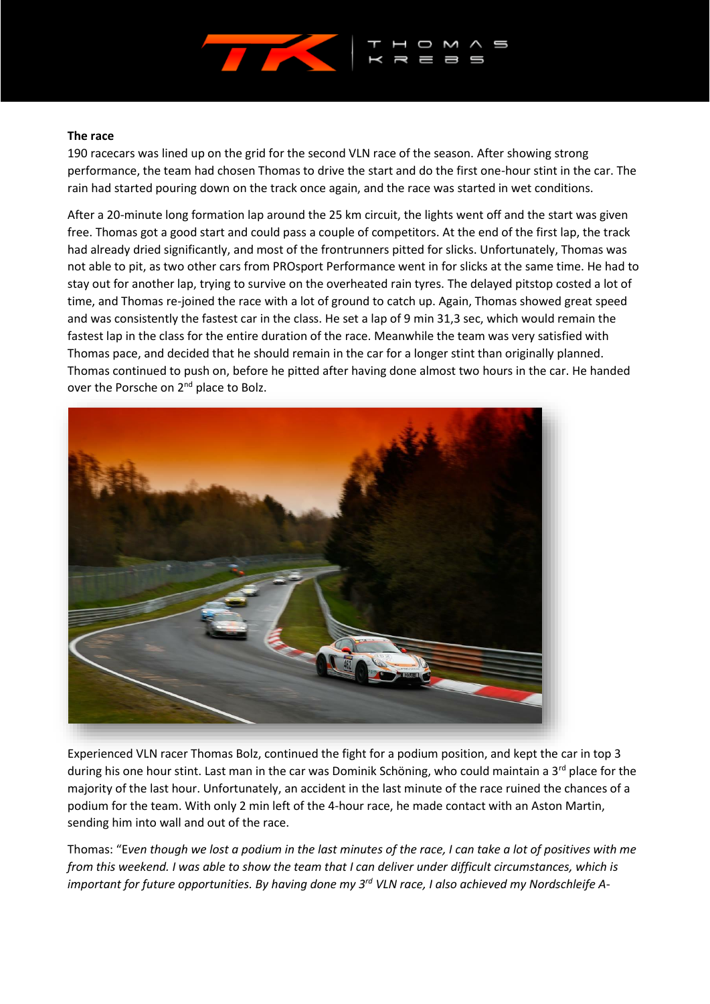

#### **The race**

190 racecars was lined up on the grid for the second VLN race of the season. After showing strong performance, the team had chosen Thomas to drive the start and do the first one-hour stint in the car. The rain had started pouring down on the track once again, and the race was started in wet conditions.

After a 20-minute long formation lap around the 25 km circuit, the lights went off and the start was given free. Thomas got a good start and could pass a couple of competitors. At the end of the first lap, the track had already dried significantly, and most of the frontrunners pitted for slicks. Unfortunately, Thomas was not able to pit, as two other cars from PROsport Performance went in for slicks at the same time. He had to stay out for another lap, trying to survive on the overheated rain tyres. The delayed pitstop costed a lot of time, and Thomas re-joined the race with a lot of ground to catch up. Again, Thomas showed great speed and was consistently the fastest car in the class. He set a lap of 9 min 31,3 sec, which would remain the fastest lap in the class for the entire duration of the race. Meanwhile the team was very satisfied with Thomas pace, and decided that he should remain in the car for a longer stint than originally planned. Thomas continued to push on, before he pitted after having done almost two hours in the car. He handed over the Porsche on 2<sup>nd</sup> place to Bolz.



Experienced VLN racer Thomas Bolz, continued the fight for a podium position, and kept the car in top 3 during his one hour stint. Last man in the car was Dominik Schöning, who could maintain a  $3^{rd}$  place for the majority of the last hour. Unfortunately, an accident in the last minute of the race ruined the chances of a podium for the team. With only 2 min left of the 4-hour race, he made contact with an Aston Martin, sending him into wall and out of the race.

Thomas: "E*ven though we lost a podium in the last minutes of the race, I can take a lot of positives with me from this weekend. I was able to show the team that I can deliver under difficult circumstances, which is important for future opportunities. By having done my 3rd VLN race, I also achieved my Nordschleife A-*